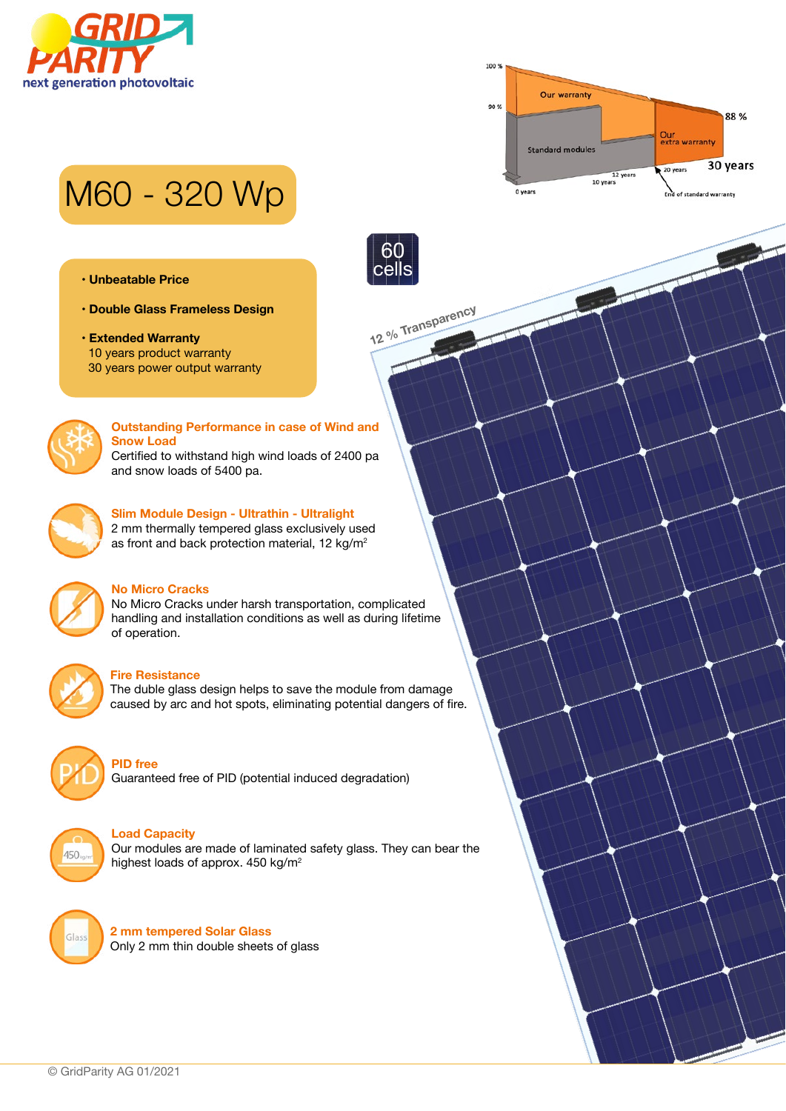



# M60 - 320 Wp

- **Unbeatable Price**
- **Double Glass Frameless Design**
- **Extended Warranty** 10 years product warranty 30 years power output warranty



#### **Outstanding Performance in case of Wind and Snow Load** Certified to withstand high wind loads of 2400 pa and snow loads of 5400 pa.

**12 % Transparency**

60 cells



## **Slim Module Design - Ultrathin - Ultralight**

2 mm thermally tempered glass exclusively used as front and back protection material, 12 kg/m<sup>2</sup>



### **No Micro Cracks**

No Micro Cracks under harsh transportation, complicated handling and installation conditions as well as during lifetime of operation.



#### **Fire Resistance**

The duble glass design helps to save the module from damage caused by arc and hot spots, eliminating potential dangers of fire.



#### **PID free**

Guaranteed free of PID (potential induced degradation)



#### **Load Capacity**

Our modules are made of laminated safety glass. They can bear the highest loads of approx. 450 kg/m<sup>2</sup>



**2 mm tempered Solar Glass** Only 2 mm thin double sheets of glass